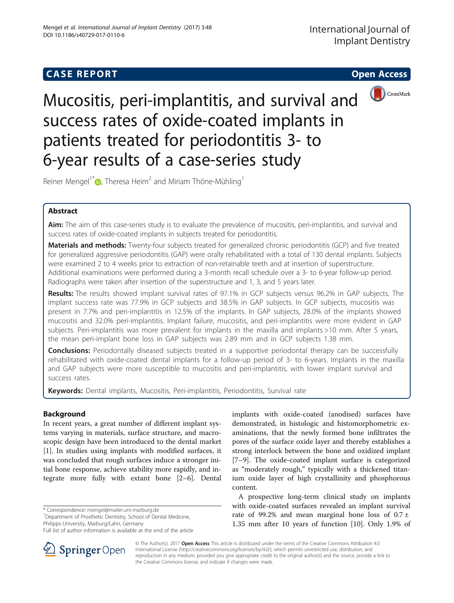# **CASE REPORT CASE REPORT CASE REPORT**



Mucositis, peri-implantitis, and survival and success rates of oxide-coated implants in patients treated for periodontitis 3- to 6-year results of a case-series study

Reiner Mengel<sup>1\*</sup> $\odot$ [,](http://orcid.org/0000-0001-6982-0312) Theresa Heim<sup>2</sup> and Miriam Thöne-Mühling<sup>1</sup>

## Abstract

Aim: The aim of this case-series study is to evaluate the prevalence of mucositis, peri-implantitis, and survival and success rates of oxide-coated implants in subjects treated for periodontitis.

Materials and methods: Twenty-four subjects treated for generalized chronic periodontitis (GCP) and five treated for generalized aggressive periodontitis (GAP) were orally rehabilitated with a total of 130 dental implants. Subjects were examined 2 to 4 weeks prior to extraction of non-retainable teeth and at insertion of superstructure. Additional examinations were performed during a 3-month recall schedule over a 3- to 6-year follow-up period. Radiographs were taken after insertion of the superstructure and 1, 3, and 5 years later.

Results: The results showed implant survival rates of 97.1% in GCP subjects versus 96.2% in GAP subjects. The implant success rate was 77.9% in GCP subjects and 38.5% in GAP subjects. In GCP subjects, mucositis was present in 7.7% and peri-implantitis in 12.5% of the implants. In GAP subjects, 28.0% of the implants showed mucositis and 32.0% peri-implantitis. Implant failure, mucositis, and peri-implantitis were more evident in GAP subjects. Peri-implantitis was more prevalent for implants in the maxilla and implants >10 mm. After 5 years, the mean peri-implant bone loss in GAP subjects was 2.89 mm and in GCP subjects 1.38 mm.

**Conclusions:** Periodontally diseased subjects treated in a supportive periodontal therapy can be successfully rehabilitated with oxide-coated dental implants for a follow-up period of 3- to 6-years. Implants in the maxilla and GAP subjects were more susceptible to mucositis and peri-implantitis, with lower implant survival and success rates.

Keywords: Dental implants, Mucositis, Peri-implantitis, Periodontitis, Survival rate

## Background

In recent years, a great number of different implant systems varying in materials, surface structure, and macroscopic design have been introduced to the dental market [[1\]](#page-6-0). In studies using implants with modified surfaces, it was concluded that rough surfaces induce a stronger initial bone response, achieve stability more rapidly, and integrate more fully with extant bone [[2](#page-6-0)–[6\]](#page-6-0). Dental

\* Correspondence: [mengel@mailer.uni-marburg.de](mailto:mengel@mailer.uni-marburg.de) <sup>1</sup>

<sup>1</sup>Department of Prosthetic Dentistry, School of Dental Medicine, Philipps-University, Marburg/Lahn, Germany

Full list of author information is available at the end of the article



implants with oxide-coated (anodised) surfaces have demonstrated, in histologic and histomorphometric examinations, that the newly formed bone infiltrates the pores of the surface oxide layer and thereby establishes a strong interlock between the bone and oxidized implant [[7](#page-6-0)–[9\]](#page-6-0). The oxide-coated implant surface is categorized as "moderately rough," typically with a thickened titanium oxide layer of high crystallinity and phosphorous content.

A prospective long-term clinical study on implants with oxide-coated surfaces revealed an implant survival rate of 99.2% and mean marginal bone loss of  $0.7 \pm$ 1.35 mm after 10 years of function [\[10](#page-6-0)]. Only 1.9% of

© The Author(s). 2017 **Open Access** This article is distributed under the terms of the Creative Commons Attribution 4.0 International License ([http://creativecommons.org/licenses/by/4.0/\)](http://creativecommons.org/licenses/by/4.0/), which permits unrestricted use, distribution, and reproduction in any medium, provided you give appropriate credit to the original author(s) and the source, provide a link to the Creative Commons license, and indicate if changes were made.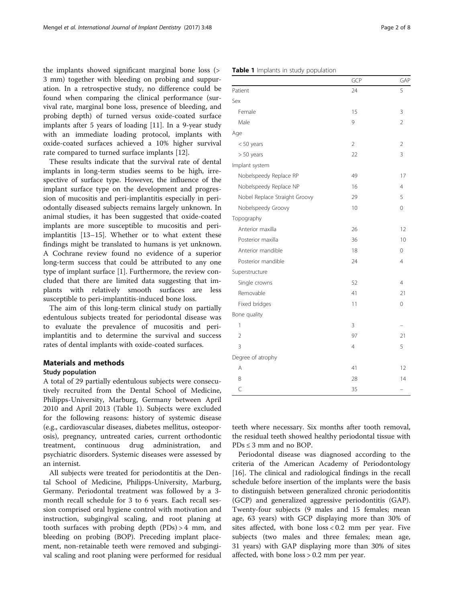<span id="page-1-0"></span>the implants showed significant marginal bone loss (> 3 mm) together with bleeding on probing and suppuration. In a retrospective study, no difference could be found when comparing the clinical performance (survival rate, marginal bone loss, presence of bleeding, and probing depth) of turned versus oxide-coated surface implants after 5 years of loading [[11\]](#page-6-0). In a 9-year study with an immediate loading protocol, implants with oxide-coated surfaces achieved a 10% higher survival rate compared to turned surface implants [[12](#page-7-0)].

These results indicate that the survival rate of dental implants in long-term studies seems to be high, irrespective of surface type. However, the influence of the implant surface type on the development and progression of mucositis and peri-implantitis especially in periodontally diseased subjects remains largely unknown. In animal studies, it has been suggested that oxide-coated implants are more susceptible to mucositis and periimplantitis [[13](#page-7-0)–[15](#page-7-0)]. Whether or to what extent these findings might be translated to humans is yet unknown. A Cochrane review found no evidence of a superior long-term success that could be attributed to any one type of implant surface [[1\]](#page-6-0). Furthermore, the review concluded that there are limited data suggesting that implants with relatively smooth surfaces are less susceptible to peri-implantitis-induced bone loss.

The aim of this long-term clinical study on partially edentulous subjects treated for periodontal disease was to evaluate the prevalence of mucositis and periimplantitis and to determine the survival and success rates of dental implants with oxide-coated surfaces.

## Materials and methods

#### Study population

A total of 29 partially edentulous subjects were consecutively recruited from the Dental School of Medicine, Philipps-University, Marburg, Germany between April 2010 and April 2013 (Table 1). Subjects were excluded for the following reasons: history of systemic disease (e.g., cardiovascular diseases, diabetes mellitus, osteoporosis), pregnancy, untreated caries, current orthodontic treatment, continuous drug administration, and psychiatric disorders. Systemic diseases were assessed by an internist.

All subjects were treated for periodontitis at the Dental School of Medicine, Philipps-University, Marburg, Germany. Periodontal treatment was followed by a 3 month recall schedule for 3 to 6 years. Each recall session comprised oral hygiene control with motivation and instruction, subgingival scaling, and root planing at tooth surfaces with probing depth (PDs) > 4 mm, and bleeding on probing (BOP). Preceding implant placement, non-retainable teeth were removed and subgingival scaling and root planing were performed for residual

| Page 2 of 8 |  |
|-------------|--|
|-------------|--|

## Table 1 Implants in study population

|                               | GCP            | GAP            |
|-------------------------------|----------------|----------------|
| Patient                       | 24             | 5              |
| Sex                           |                |                |
| Female                        | 15             | 3              |
| Male                          | 9              | $\overline{2}$ |
| Age                           |                |                |
| $< 50$ years                  | $\overline{2}$ | $\overline{2}$ |
| $> 50$ years                  | 22             | 3              |
| Implant system                |                |                |
| Nobelspeedy Replace RP        | 49             | 17             |
| Nobelspeedy Replace NP        | 16             | 4              |
| Nobel Replace Straight Groovy | 29             | 5              |
| Nobelspeedy Groovy            | 10             | 0              |
| Topography                    |                |                |
| Anterior maxilla              | 26             | 12             |
| Posterior maxilla             | 36             | 10             |
| Anterior mandible             | 18             | 0              |
| Posterior mandible            | 24             | 4              |
| Superstructure                |                |                |
| Single crowns                 | 52             | 4              |
| Removable                     | 41             | 21             |
| Fixed bridges                 | 11             | $\mathbf 0$    |
| Bone quality                  |                |                |
| 1                             | 3              |                |
| $\overline{2}$                | 97             | 21             |
| 3                             | 4              | 5              |
| Degree of atrophy             |                |                |
| A                             | 41             | 12             |
| B                             | 28             | 14             |
| $\overline{C}$                | 35             |                |

teeth where necessary. Six months after tooth removal, the residual teeth showed healthy periodontal tissue with  $PDs \leq 3$  mm and no BOP.

Periodontal disease was diagnosed according to the criteria of the American Academy of Periodontology [[16\]](#page-7-0). The clinical and radiological findings in the recall schedule before insertion of the implants were the basis to distinguish between generalized chronic periodontitis (GCP) and generalized aggressive periodontitis (GAP). Twenty-four subjects (9 males and 15 females; mean age, 63 years) with GCP displaying more than 30% of sites affected, with bone loss < 0.2 mm per year. Five subjects (two males and three females; mean age, 31 years) with GAP displaying more than 30% of sites affected, with bone loss > 0.2 mm per year.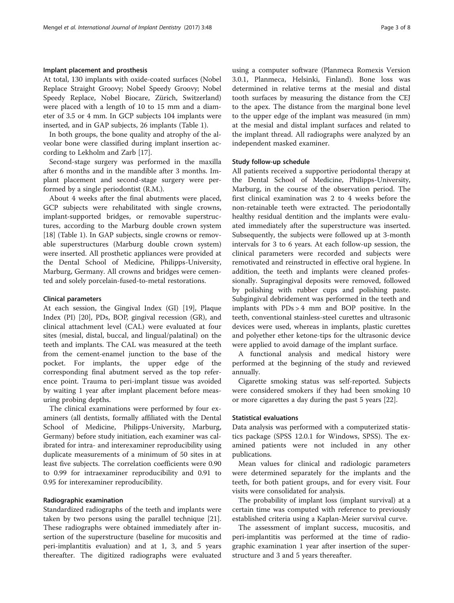## Implant placement and prosthesis

At total, 130 implants with oxide-coated surfaces (Nobel Replace Straight Groovy; Nobel Speedy Groovy; Nobel Speedy Replace, Nobel Biocare, Zürich, Switzerland) were placed with a length of 10 to 15 mm and a diameter of 3.5 or 4 mm. In GCP subjects 104 implants were inserted, and in GAP subjects, 26 implants (Table [1](#page-1-0)).

In both groups, the bone quality and atrophy of the alveolar bone were classified during implant insertion according to Lekholm and Zarb [\[17](#page-7-0)].

Second-stage surgery was performed in the maxilla after 6 months and in the mandible after 3 months. Implant placement and second-stage surgery were performed by a single periodontist (R.M.).

About 4 weeks after the final abutments were placed, GCP subjects were rehabilitated with single crowns, implant-supported bridges, or removable superstructures, according to the Marburg double crown system [[18\]](#page-7-0) (Table [1](#page-1-0)). In GAP subjects, single crowns or removable superstructures (Marburg double crown system) were inserted. All prosthetic appliances were provided at the Dental School of Medicine, Philipps-University, Marburg, Germany. All crowns and bridges were cemented and solely porcelain-fused-to-metal restorations.

#### Clinical parameters

At each session, the Gingival Index (GI) [[19\]](#page-7-0), Plaque Index (PI) [\[20](#page-7-0)], PDs, BOP, gingival recession (GR), and clinical attachment level (CAL) were evaluated at four sites (mesial, distal, buccal, and lingual/palatinal) on the teeth and implants. The CAL was measured at the teeth from the cement-enamel junction to the base of the pocket. For implants, the upper edge of the corresponding final abutment served as the top reference point. Trauma to peri-implant tissue was avoided by waiting 1 year after implant placement before measuring probing depths.

The clinical examinations were performed by four examiners (all dentists, formally affiliated with the Dental School of Medicine, Philipps-University, Marburg, Germany) before study initiation, each examiner was calibrated for intra- and interexaminer reproducibility using duplicate measurements of a minimum of 50 sites in at least five subjects. The correlation coefficients were 0.90 to 0.99 for intraexaminer reproducibility and 0.91 to 0.95 for interexaminer reproducibility.

#### Radiographic examination

Standardized radiographs of the teeth and implants were taken by two persons using the parallel technique [\[21](#page-7-0)]. These radiographs were obtained immediately after insertion of the superstructure (baseline for mucositis and peri-implantitis evaluation) and at 1, 3, and 5 years thereafter. The digitized radiographs were evaluated

using a computer software (Planmeca Romexis Version 3.0.1, Planmeca, Helsinki, Finland). Bone loss was determined in relative terms at the mesial and distal tooth surfaces by measuring the distance from the CEJ to the apex. The distance from the marginal bone level to the upper edge of the implant was measured (in mm) at the mesial and distal implant surfaces and related to the implant thread. All radiographs were analyzed by an independent masked examiner.

#### Study follow-up schedule

All patients received a supportive periodontal therapy at the Dental School of Medicine, Philipps-University, Marburg, in the course of the observation period. The first clinical examination was 2 to 4 weeks before the non-retainable teeth were extracted. The periodontally healthy residual dentition and the implants were evaluated immediately after the superstructure was inserted. Subsequently, the subjects were followed up at 3-month intervals for 3 to 6 years. At each follow-up session, the clinical parameters were recorded and subjects were remotivated and reinstructed in effective oral hygiene. In addition, the teeth and implants were cleaned professionally. Supragingival deposits were removed, followed by polishing with rubber cups and polishing paste. Subgingival debridement was performed in the teeth and implants with PDs > 4 mm and BOP positive. In the teeth, conventional stainless-steel curettes and ultrasonic devices were used, whereas in implants, plastic curettes and polyether ether ketone-tips for the ultrasonic device were applied to avoid damage of the implant surface.

A functional analysis and medical history were performed at the beginning of the study and reviewed annually.

Cigarette smoking status was self-reported. Subjects were considered smokers if they had been smoking 10 or more cigarettes a day during the past 5 years [[22](#page-7-0)].

#### Statistical evaluations

Data analysis was performed with a computerized statistics package (SPSS 12.0.1 for Windows, SPSS). The examined patients were not included in any other publications.

Mean values for clinical and radiologic parameters were determined separately for the implants and the teeth, for both patient groups, and for every visit. Four visits were consolidated for analysis.

The probability of implant loss (implant survival) at a certain time was computed with reference to previously established criteria using a Kaplan-Meier survival curve.

The assessment of implant success, mucositis, and peri-implantitis was performed at the time of radiographic examination 1 year after insertion of the superstructure and 3 and 5 years thereafter.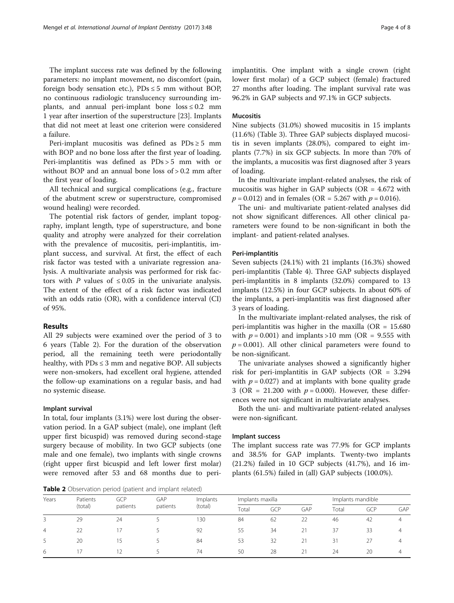The implant success rate was defined by the following parameters: no implant movement, no discomfort (pain, foreign body sensation etc.),  $PDs \le 5$  mm without BOP, no continuous radiologic translucency surrounding implants, and annual peri-implant bone  $loss \leq 0.2$  mm 1 year after insertion of the superstructure [\[23](#page-7-0)]. Implants that did not meet at least one criterion were considered a failure.

Peri-implant mucositis was defined as PDs ≥ 5 mm with BOP and no bone loss after the first year of loading. Peri-implantitis was defined as PDs > 5 mm with or without BOP and an annual bone loss of > 0.2 mm after the first year of loading.

All technical and surgical complications (e.g., fracture of the abutment screw or superstructure, compromised wound healing) were recorded.

The potential risk factors of gender, implant topography, implant length, type of superstructure, and bone quality and atrophy were analyzed for their correlation with the prevalence of mucositis, peri-implantitis, implant success, and survival. At first, the effect of each risk factor was tested with a univariate regression analysis. A multivariate analysis was performed for risk factors with P values of  $\leq 0.05$  in the univariate analysis. The extent of the effect of a risk factor was indicated with an odds ratio (OR), with a confidence interval (CI) of 95%.

## Results

All 29 subjects were examined over the period of 3 to 6 years (Table 2). For the duration of the observation period, all the remaining teeth were periodontally healthy, with  $PDs \leq 3$  mm and negative BOP. All subjects were non-smokers, had excellent oral hygiene, attended the follow-up examinations on a regular basis, and had no systemic disease.

### Implant survival

In total, four implants (3.1%) were lost during the observation period. In a GAP subject (male), one implant (left upper first bicuspid) was removed during second-stage surgery because of mobility. In two GCP subjects (one male and one female), two implants with single crowns (right upper first bicuspid and left lower first molar) were removed after 53 and 68 months due to peri-

**Table 2** Observation period (patient and implant related)

implantitis. One implant with a single crown (right lower first molar) of a GCP subject (female) fractured 27 months after loading. The implant survival rate was 96.2% in GAP subjects and 97.1% in GCP subjects.

## Mucositis

Nine subjects (31.0%) showed mucositis in 15 implants (11.6%) (Table [3](#page-4-0)). Three GAP subjects displayed mucositis in seven implants (28.0%), compared to eight implants (7.7%) in six GCP subjects. In more than 70% of the implants, a mucositis was first diagnosed after 3 years of loading.

In the multivariate implant-related analyses, the risk of mucositis was higher in GAP subjects ( $OR = 4.672$  with  $p = 0.012$ ) and in females (OR = 5.267 with  $p = 0.016$ ).

The uni- and multivariate patient-related analyses did not show significant differences. All other clinical parameters were found to be non-significant in both the implant- and patient-related analyses.

## Peri-implantitis

Seven subjects (24.1%) with 21 implants (16.3%) showed peri-implantitis (Table [4\)](#page-5-0). Three GAP subjects displayed peri-implantitis in 8 implants (32.0%) compared to 13 implants (12.5%) in four GCP subjects. In about 60% of the implants, a peri-implantitis was first diagnosed after 3 years of loading.

In the multivariate implant-related analyses, the risk of peri-implantitis was higher in the maxilla ( $OR = 15.680$ with  $p = 0.001$ ) and implants >10 mm (OR = 9.555 with  $p = 0.001$ ). All other clinical parameters were found to be non-significant.

The univariate analyses showed a significantly higher risk for peri-implantitis in GAP subjects (OR = 3.294 with  $p = 0.027$ ) and at implants with bone quality grade 3 (OR = 21.200 with  $p = 0.000$ ). However, these differences were not significant in multivariate analyses.

Both the uni- and multivariate patient-related analyses were non-significant.

## Implant success

The implant success rate was 77.9% for GCP implants and 38.5% for GAP implants. Twenty-two implants (21.2%) failed in 10 GCP subjects (41.7%), and 16 implants (61.5%) failed in (all) GAP subjects (100.0%).

|       |          | $\sim$   |          |          |                  |     |     |       |                   |                |
|-------|----------|----------|----------|----------|------------------|-----|-----|-------|-------------------|----------------|
| Years | Patients | GCP      | GAP      | Implants | Implants maxilla |     |     |       | Implants mandible |                |
|       | (total)  | patients | patients | (total)  | Total            | GCP | GAP | Total | GCP               | GAP            |
|       | 29       | 24       |          | 130      | 84               | 62  | 22  | 46    | 42                | $\overline{4}$ |
| 4     | 22       |          |          | 92       | 55               | 34  |     | 37    | 33                | $\overline{4}$ |
| 5     | 20       |          |          | 84       | 53               | 32  |     | 31    | 27                | 4              |
| 6     |          |          |          | 74       | 50               | 28  |     | 24    | 20                | $\overline{4}$ |
|       |          |          |          |          |                  |     |     |       |                   |                |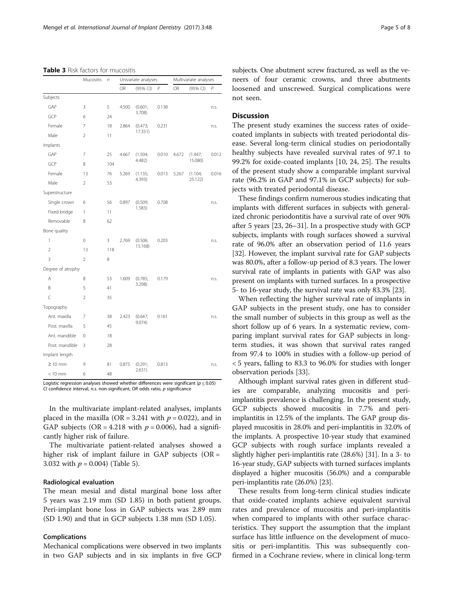<span id="page-4-0"></span>Table 3 Risk factors for mucositis

|                   | Mucositis      | $\sqrt{n}$ |       | Univariate analyses |       | Multivariate analyses |                    |       |
|-------------------|----------------|------------|-------|---------------------|-------|-----------------------|--------------------|-------|
|                   |                |            | OR    | (95% CI)            | P     | OR                    | (95% CI)           | P     |
| Subjects          |                |            |       |                     |       |                       |                    |       |
| GAP               | 3              | 5          | 4.500 | (0.601;             | 0.138 |                       |                    | n.s.  |
| GCP               | 6              | 24         |       | 3.708)              |       |                       |                    |       |
| Female            | 7              | 18         | 2.864 | (0.473;<br>17.351)  | 0.231 |                       |                    | n.s.  |
| Male              | $\overline{2}$ | 11         |       |                     |       |                       |                    |       |
| Implants          |                |            |       |                     |       |                       |                    |       |
| GAP               | 7              | 25         | 4.667 | (1.504;             | 0.010 | 4.672                 | (1.447;            | 0.012 |
| GCP               | 8              | 104        |       | 4.482)              |       |                       | 15.080)            |       |
| Female            | 13             | 76         | 5.269 | (1.135;             | 0.013 | 5.267                 | (1.104;<br>25.122) | 0.016 |
| Male              | $\overline{2}$ | 53         |       | 4.393)              |       |                       |                    |       |
| Superstructure    |                |            |       |                     |       |                       |                    |       |
| Single crown      | 6              | 56         | 0.897 | (0.509;<br>1.583)   | 0.708 |                       |                    | n.s.  |
| Fixed bridge      | $\mathbf{1}$   | 11         |       |                     |       |                       |                    |       |
| Removable         | 8              | 62         |       |                     |       |                       |                    |       |
| Bone quality      |                |            |       |                     |       |                       |                    |       |
| 1                 | 0              | 3          | 2.769 | (0.506;<br>15.168)  | 0.203 |                       |                    | n.s.  |
| $\overline{2}$    | 13             | 118        |       |                     |       |                       |                    |       |
| 3                 | $\overline{2}$ | 8          |       |                     |       |                       |                    |       |
| Degree of atrophy |                |            |       |                     |       |                       |                    |       |
| A                 | 8              | 53         | 1.609 | (0.785;<br>3.298)   | 0.179 |                       |                    | n.s.  |
| B                 | 5              | 41         |       |                     |       |                       |                    |       |
| Ċ                 | $\overline{2}$ | 35         |       |                     |       |                       |                    |       |
| Topography        |                |            |       |                     |       |                       |                    |       |
| Ant. maxilla      | 7              | 38         | 2.423 | (0.647;             | 0.161 |                       |                    | n.s.  |
| Post. maxilla     | 5              | 45         |       | 9.074)              |       |                       |                    |       |
| Ant. mandible     | 0              | 18         |       |                     |       |                       |                    |       |
| Post. mandible    | 3              | 28         |       |                     |       |                       |                    |       |
| Implant length    |                |            |       |                     |       |                       |                    |       |
| $\geq$ 10 mm      | 9              | 81         | 0.875 | (0.291;             | 0.813 |                       |                    | n.s.  |
| $< 10$ mm         | 6              | 48         |       | 2.631)              |       |                       |                    |       |

Logistic regression analyses showed whether differences were significant ( $p \le 0.05$ ) CI confidence interval, n.s. non-significant, OR odds ratio, p significance

In the multivariate implant-related analyses, implants placed in the maxilla (OR = 3.241 with  $p = 0.022$ ), and in GAP subjects (OR = 4.218 with  $p = 0.006$ ), had a significantly higher risk of failure.

The multivariate patient-related analyses showed a higher risk of implant failure in GAP subjects ( $OR =$ 3.032 with  $p = 0.004$ ) (Table [5](#page-6-0)).

## Radiological evaluation

The mean mesial and distal marginal bone loss after 5 years was 2.19 mm (SD 1.85) in both patient groups. Peri-implant bone loss in GAP subjects was 2.89 mm (SD 1.90) and that in GCP subjects 1.38 mm (SD 1.05).

### Complications

Mechanical complications were observed in two implants in two GAP subjects and in six implants in five GCP subjects. One abutment screw fractured, as well as the veneers of four ceramic crowns, and three abutments loosened and unscrewed. Surgical complications were not seen.

## **Discussion**

The present study examines the success rates of oxidecoated implants in subjects with treated periodontal disease. Several long-term clinical studies on periodontally healthy subjects have revealed survival rates of 97.1 to 99.2% for oxide-coated implants [[10,](#page-6-0) [24, 25\]](#page-7-0). The results of the present study show a comparable implant survival rate (96.2% in GAP and 97.1% in GCP subjects) for subjects with treated periodontal disease.

These findings confirm numerous studies indicating that implants with different surfaces in subjects with generalized chronic periodontitis have a survival rate of over 90% after 5 years [[23](#page-7-0), [26](#page-7-0)–[31](#page-7-0)]. In a prospective study with GCP subjects, implants with rough surfaces showed a survival rate of 96.0% after an observation period of 11.6 years [[32](#page-7-0)]. However, the implant survival rate for GAP subjects was 80.0%, after a follow-up period of 8.3 years. The lower survival rate of implants in patients with GAP was also present on implants with turned surfaces. In a prospective 5- to 16-year study, the survival rate was only 83.3% [[23](#page-7-0)].

When reflecting the higher survival rate of implants in GAP subjects in the present study, one has to consider the small number of subjects in this group as well as the short follow up of 6 years. In a systematic review, comparing implant survival rates for GAP subjects in longterm studies, it was shown that survival rates ranged from 97.4 to 100% in studies with a follow-up period of < 5 years, falling to 83.3 to 96.0% for studies with longer observation periods [\[33](#page-7-0)].

Although implant survival rates given in different studies are comparable, analyzing mucositis and periimplantitis prevalence is challenging. In the present study, GCP subjects showed mucositis in 7.7% and periimplantitis in 12.5% of the implants. The GAP group displayed mucositis in 28.0% and peri-implantitis in 32.0% of the implants. A prospective 10-year study that examined GCP subjects with rough surface implants revealed a slightly higher peri-implantitis rate (28.6%) [[31](#page-7-0)]. In a 3- to 16-year study, GAP subjects with turned surfaces implants displayed a higher mucositis (56.0%) and a comparable peri-implantitis rate (26.0%) [\[23\]](#page-7-0).

These results from long-term clinical studies indicate that oxide-coated implants achieve equivalent survival rates and prevalence of mucositis and peri-implantitis when compared to implants with other surface characteristics. They support the assumption that the implant surface has little influence on the development of mucositis or peri-implantitis. This was subsequently confirmed in a Cochrane review, where in clinical long-term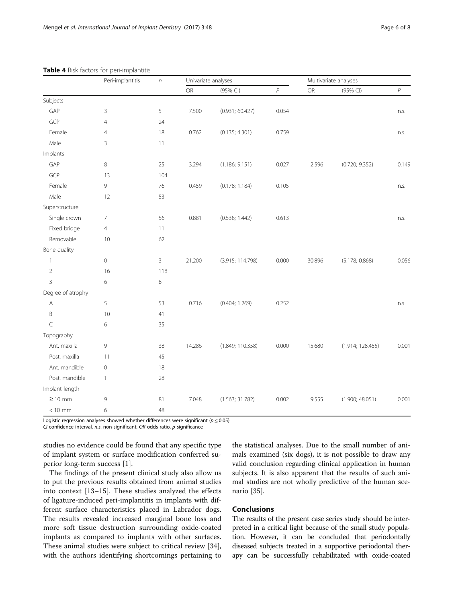|                   | Peri-implantitis | $\sqrt{n}$ |        | Univariate analyses | Multivariate analyses |               |                  |                  |
|-------------------|------------------|------------|--------|---------------------|-----------------------|---------------|------------------|------------------|
|                   |                  |            | OR     | (95% CI)            | $\overline{P}$        | $\mathsf{OR}$ | (95% CI)         | $\boldsymbol{P}$ |
| Subjects          |                  |            |        |                     |                       |               |                  |                  |
| GAP               | 3                | 5          | 7.500  | (0.931; 60.427)     | 0.054                 |               |                  | n.s.             |
| GCP               | $\overline{4}$   | 24         |        |                     |                       |               |                  |                  |
| Female            | $\overline{4}$   | 18         | 0.762  | (0.135; 4.301)      | 0.759                 |               |                  | n.s.             |
| Male              | 3                | 11         |        |                     |                       |               |                  |                  |
| Implants          |                  |            |        |                     |                       |               |                  |                  |
| GAP               | 8                | 25         | 3.294  | (1.186; 9.151)      | 0.027                 | 2.596         | (0.720; 9.352)   | 0.149            |
| GCP               | 13               | 104        |        |                     |                       |               |                  |                  |
| Female            | 9                | 76         | 0.459  | (0.178; 1.184)      | 0.105                 |               |                  | n.s.             |
| Male              | 12               | 53         |        |                     |                       |               |                  |                  |
| Superstructure    |                  |            |        |                     |                       |               |                  |                  |
| Single crown      | $\overline{7}$   | 56         | 0.881  | (0.538; 1.442)      | 0.613                 |               |                  | n.s.             |
| Fixed bridge      | $\overline{4}$   | 11         |        |                     |                       |               |                  |                  |
| Removable         | 10               | 62         |        |                     |                       |               |                  |                  |
| Bone quality      |                  |            |        |                     |                       |               |                  |                  |
| $\mathbf{1}$      | $\mathbb O$      | 3          | 21.200 | (3.915; 114.798)    | 0.000                 | 30.896        | (5.178; 0.868)   | 0.056            |
| $\overline{2}$    | 16               | 118        |        |                     |                       |               |                  |                  |
| $\overline{3}$    | 6                | 8          |        |                     |                       |               |                  |                  |
| Degree of atrophy |                  |            |        |                     |                       |               |                  |                  |
| A                 | 5                | 53         | 0.716  | (0.404; 1.269)      | 0.252                 |               |                  | n.s.             |
| B                 | 10               | 41         |        |                     |                       |               |                  |                  |
| $\subset$         | 6                | 35         |        |                     |                       |               |                  |                  |
| Topography        |                  |            |        |                     |                       |               |                  |                  |
| Ant. maxilla      | 9                | 38         | 14.286 | (1.849; 110.358)    | 0.000                 | 15.680        | (1.914; 128.455) | 0.001            |
| Post. maxilla     | 11               | 45         |        |                     |                       |               |                  |                  |
| Ant. mandible     | $\mathbb O$      | 18         |        |                     |                       |               |                  |                  |
| Post. mandible    | $\mathbf{1}$     | 28         |        |                     |                       |               |                  |                  |
| Implant length    |                  |            |        |                     |                       |               |                  |                  |
| $\geq 10$ mm      | 9                | 81         | 7.048  | (1.563; 31.782)     | 0.002                 | 9.555         | (1.900; 48.051)  | 0.001            |
| $< 10$ mm         | 6                | 48         |        |                     |                       |               |                  |                  |

## <span id="page-5-0"></span>Table 4 Risk factors for peri-implantitis

Logistic regression analyses showed whether differences were significant ( $p \le 0.05$ )

CI confidence interval, n.s. non-significant, OR odds ratio, p significance

studies no evidence could be found that any specific type of implant system or surface modification conferred superior long-term success [\[1\]](#page-6-0).

The findings of the present clinical study also allow us to put the previous results obtained from animal studies into context [\[13](#page-7-0)–[15\]](#page-7-0). These studies analyzed the effects of ligature-induced peri-implantitis in implants with different surface characteristics placed in Labrador dogs. The results revealed increased marginal bone loss and more soft tissue destruction surrounding oxide-coated implants as compared to implants with other surfaces. These animal studies were subject to critical review [\[34](#page-7-0)], with the authors identifying shortcomings pertaining to

the statistical analyses. Due to the small number of animals examined (six dogs), it is not possible to draw any valid conclusion regarding clinical application in human subjects. It is also apparent that the results of such animal studies are not wholly predictive of the human scenario [[35\]](#page-7-0).

## Conclusions

The results of the present case series study should be interpreted in a critical light because of the small study population. However, it can be concluded that periodontally diseased subjects treated in a supportive periodontal therapy can be successfully rehabilitated with oxide-coated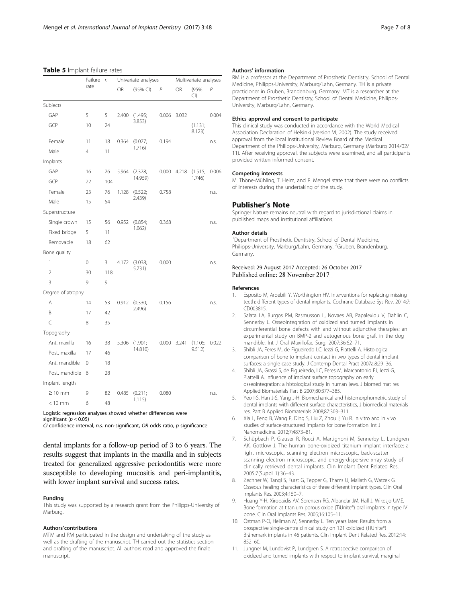#### <span id="page-6-0"></span>Table 5 Implant failure rates

|                   | Failure  | Univariate analyses<br>$\sqrt{n}$ |       |                   | Multivariate analyses |             |                   |       |
|-------------------|----------|-----------------------------------|-------|-------------------|-----------------------|-------------|-------------------|-------|
|                   | rate     |                                   | OR    | (95% CI)          | $\overline{P}$        | OR          | (95%<br>Cl)       | P     |
| Subjects          |          |                                   |       |                   |                       |             |                   |       |
| GAP               | 5        | 5                                 | 2.400 | (1.495;<br>3.853) | 0.006                 | 3.032       |                   | 0.004 |
| GCP               | 10       | 24                                |       |                   |                       |             | (1.131;<br>8.123) |       |
| Female            | 11       | 18                                | 0.364 | (0.077;           | 0.194                 |             |                   | n.s.  |
| Male              | 4        | 11                                |       | 1.716)            |                       |             |                   |       |
| Implants          |          |                                   |       |                   |                       |             |                   |       |
| GAP               | 16       | 26                                | 5.964 | (2.378;           |                       | 0.000 4.218 | (1.515;<br>1.746) | 0.006 |
| GCP               | 22       | 104                               |       | 14.959)           |                       |             |                   |       |
| Female            | 23       | 76                                | 1.128 | (0.522;           | 0.758                 |             |                   | n.s.  |
| Male              | 15       | 54                                |       | 2.439)            |                       |             |                   |       |
| Superstructure    |          |                                   |       |                   |                       |             |                   |       |
| Single crown      | 15       | 56                                | 0.952 | (0.854;<br>1.062) | 0.368                 |             |                   | n.s.  |
| Fixed bridge      | 5        | 11                                |       |                   |                       |             |                   |       |
| Removable         | 18       | 62                                |       |                   |                       |             |                   |       |
| Bone quality      |          |                                   |       |                   |                       |             |                   |       |
| $\mathbf{1}$      | 0        | 3                                 | 4.172 | (3.038;<br>5.731) | 0.000                 |             |                   | n.s.  |
| $\overline{2}$    | 30       | 118                               |       |                   |                       |             |                   |       |
| 3                 | 9        | 9                                 |       |                   |                       |             |                   |       |
| Degree of atrophy |          |                                   |       |                   |                       |             |                   |       |
| A                 | 14       | 53                                | 0.912 | (0.330;           | 0.156                 |             |                   | n.s.  |
| B                 | 17       | 42                                |       | 2.496)            |                       |             |                   |       |
| C                 | 8        | 35                                |       |                   |                       |             |                   |       |
| Topography        |          |                                   |       |                   |                       |             |                   |       |
| Ant. maxilla      | 16       | 38                                | 5.306 | (1.901;           | 0.000                 | 3.241       | (1.105;           | 0.022 |
| Post, maxilla     | 17       | 46                                |       | 14.810)           |                       |             | 9.512)            |       |
| Ant. mandible     | $\Omega$ | 18                                |       |                   |                       |             |                   |       |
| Post, mandible    | 6        | 28                                |       |                   |                       |             |                   |       |
| Implant length    |          |                                   |       |                   |                       |             |                   |       |
| $\geq 10$ mm      | 9        | 82                                | 0.485 | (0.211;           | 0.080                 |             |                   | n.s.  |
| $< 10$ mm         | 6        | 48                                |       | 1.115)            |                       |             |                   |       |

Logistic regression analyses showed whether differences were

CI confidence interval, n.s. non-significant, OR odds ratio, p significance

dental implants for a follow-up period of 3 to 6 years. The results suggest that implants in the maxilla and in subjects treated for generalized aggressive periodontitis were more susceptible to developing mucositis and peri-implantitis, with lower implant survival and success rates.

#### Funding

This study was supported by a research grant from the Philipps-University of Marburg.

#### Authors'contributions

MTM and RM participated in the design and undertaking of the study as well as the drafting of the manuscript. TH carried out the statistics section and drafting of the manuscript. All authors read and approved the finale manuscript.

#### Authors' information

RM is a professor at the Department of Prosthetic Dentistry, School of Dental Medicine, Philipps-University, Marburg/Lahn, Germany. TH is a private practicioner in Gruben, Brandenburg, Germany. MT is a researcher at the Department of Prosthetic Dentistry, School of Dental Medicine, Philipps-University, Marburg/Lahn, Germany.

#### Ethics approval and consent to participate

This clinical study was conducted in accordance with the World Medical Association Declaration of Helsinki (version VI, 2002). The study received approval from the local Institutional Review Board of the Medical Department of the Philipps-University, Marburg, Germany (Marburg 2014/02/ 11). After receiving approval, the subjects were examined, and all participants provided written informed consent.

#### Competing interests

M. Thöne-Mühling, T. Heim, and R. Mengel state that there were no conflicts of interests during the undertaking of the study.

#### Publisher's Note

Springer Nature remains neutral with regard to jurisdictional claims in published maps and institutional affiliations.

#### Author details

<sup>1</sup> Department of Prosthetic Dentistry, School of Dental Medicine, Philipps-University, Marburg/Lahn, Germany. <sup>2</sup>Gruben, Brandenburg, Germany.

## Received: 29 August 2017 Accepted: 26 October 2017 Published online: 28 November 2017

#### References

- 1. Esposito M, Ardebili Y, Worthington HV. Interventions for replacing missing teeth: different types of dental implants. Cochrane Database Sys Rev. 2014;7: CD003815.
- 2. Salata LA, Burgos PM, Rasmusson L, Novaes AB, Papalexiou V, Dahlin C, Sennerby L. Osseointegration of oxidized and turned implants in circumferential bone defects with and without adjunctive therapies: an experimental study on BMP-2 and autogenous bone graft in the dog mandible. Int J Oral Maxillofac Surg. 2007;36:62–71.
- 3. Shibli JA, Feres M, de Figueiredo LC, Iezzi G, Piattelli A. Histological comparison of bone to implant contact in two types of dental implant surfaces: a single case study. J Contemp Dental Pract 2007a;8:29–36.
- 4. Shibli JA, Grassi S, de Figueiredo, LC, Feres M, Marcantonio EJ, Iezzi G, Piattelli A. Influence of implant surface topography on early osseointegration: a histological study in human jaws. J biomed mat res Applied Biomaterials Part B 2007;80:377–385.
- 5. Yeo I-S, Han J-S, Yang J-H. Biomechanical and histomorphometric study of dental implants with different surface characteristics, J biomedical materials res. Part B Applied Biomaterials 2008;87:303–311.
- 6. Xia L, Feng B, Wang P, Ding S, Liu Z, Zhou J, Yu R. In vitro and in vivo studies of surface-structured implants for bone formation. Int J Nanomedicine. 2012;7:4873–81.
- 7. Schüpbach P, Glauser R, Rocci A, Martignoni M, Sennerby L, Lundgren AK, Gottlow J. The human bone-oxidized titanium implant interface: a light microscopic, scanning electron microscopic, back-scatter scanning electron microscopic, and energy-dispersive x-ray study of clinically retrieved dental implants. Clin Implant Dent Related Res. 2005;7(Suppl 1):36–43.
- 8. Zechner W, Tangl S, Furst G, Tepper G, Thams U, Mailath G, Watzek G. Osseous healing characteristics of three different implant types. Clin Oral Implants Res. 2003;4:150–7.
- 9. Huang Y-H, Xiropaidis AV, Sorensen RG, Albandar JM, Hall J, Wikesjo UME. Bone formation at titanium porous oxide (TiUnite®) oral implants in type IV bone. Clin Oral Implants Res. 2005;16:105–11.
- 10. Östman P-O, Hellman M, Sennerby L. Ten years later. Results from a prospective single-centre clinical study on 121 oxidized (TiUnite®) Brånemark implants in 46 patients. Clin Implant Dent Related Res. 2012;14: 852–60.
- 11. Jungner M, Lundqvist P, Lundgren S. A retrospective comparison of oxidized and turned implants with respect to implant survival, marginal

significant ( $p \leq 0.05$ )